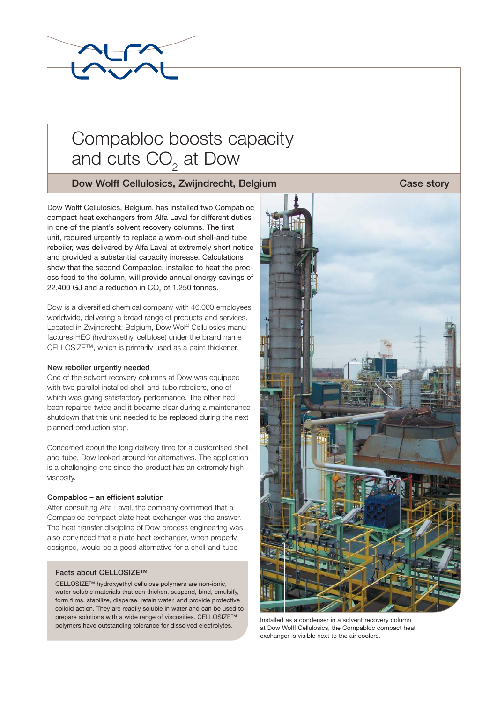

# Compabloc boosts capacity and cuts  $\mathsf{CO}_2^{\vphantom{\dagger}}$  at Dow

## **Dow Wolff Cellulosics, Zwijndrecht, Belgium Case story** Case story

Dow Wolff Cellulosics, Belgium, has installed two Compabloc compact heat exchangers from Alfa Laval for different duties in one of the plant's solvent recovery columns. The first unit, required urgently to replace a worn-out shell-and-tube reboiler, was delivered by Alfa Laval at extremely short notice and provided a substantial capacity increase. Calculations show that the second Compabloc, installed to heat the process feed to the column, will provide annual energy savings of 22,400 GJ and a reduction in CO<sub>2</sub> of 1,250 tonnes.

Dow is a diversified chemical company with 46,000 employees worldwide, delivering a broad range of products and services. Located in Zwijndrecht, Belgium, Dow Wolff Cellulosics manufactures HEC (hydroxyethyl cellulose) under the brand name CELLOSIZE™, which is primarily used as a paint thickener.

### **New reboiler urgently needed**

One of the solvent recovery columns at Dow was equipped with two parallel installed shell-and-tube reboilers, one of which was giving satisfactory performance. The other had been repaired twice and it became clear during a maintenance shutdown that this unit needed to be replaced during the next planned production stop.

Concerned about the long delivery time for a customised shelland-tube, Dow looked around for alternatives. The application is a challenging one since the product has an extremely high viscosity.

### **Compabloc – an efficient solution**

After consulting Alfa Laval, the company confirmed that a Compabloc compact plate heat exchanger was the answer. The heat transfer discipline of Dow process engineering was also convinced that a plate heat exchanger, when properly designed, would be a good alternative for a shell-and-tube

#### **Facts about CELLOSIZE™**

CELLOSIZE™ hydroxyethyl cellulose polymers are non-ionic, water-soluble materials that can thicken, suspend, bind, emulsify, form films, stabilize, disperse, retain water, and provide protective colloid action. They are readily soluble in water and can be used to prepare solutions with a wide range of viscosities. CELLOSIZE™ polymers have outstanding tolerance for dissolved electrolytes.



Installed as a condenser in a solvent recovery column at Dow Wolff Cellulosics, the Compabloc compact heat exchanger is visible next to the air coolers.